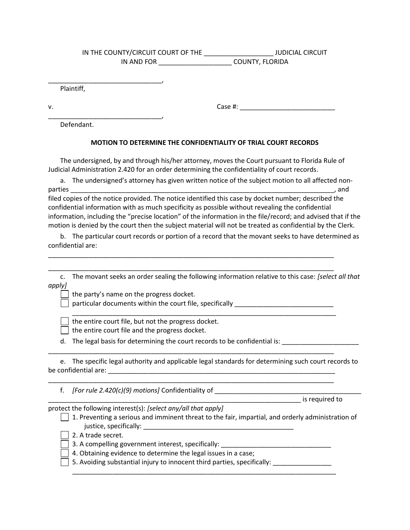## IN THE COUNTY/CIRCUIT COURT OF THE \_\_\_\_\_\_\_\_\_\_\_\_\_\_\_\_\_\_\_\_\_\_\_\_\_\_\_\_\_\_JUDICIAL CIRCUIT IN AND FOR \_\_\_\_\_\_\_\_\_\_\_\_\_\_\_\_\_\_\_\_ COUNTY, FLORIDA

Plaintiff,

\_\_\_\_\_\_\_\_\_\_\_\_\_\_\_\_\_\_\_\_\_\_\_\_\_\_\_\_\_\_\_,

\_\_\_\_\_\_\_\_\_\_\_\_\_\_\_\_\_\_\_\_\_\_\_\_\_\_\_\_\_\_\_,

v. Case #: \_\_\_\_\_\_\_\_\_\_\_\_\_\_\_\_\_\_\_\_\_\_\_\_\_\_

Defendant.

## MOTION TO DETERMINE THE CONFIDENTIALITY OF TRIAL COURT RECORDS

 The undersigned, by and through his/her attorney, moves the Court pursuant to Florida Rule of Judicial Administration 2.420 for an order determining the confidentiality of court records.

a. The undersigned's attorney has given written notice of the subject motion to all affected nonparties example of the state of the state of the state of the state of the state of the state of the state of the state of the state of the state of the state of the state of the state of the state of the state of the stat filed copies of the notice provided. The notice identified this case by docket number; described the confidential information with as much specificity as possible without revealing the confidential information, including the "precise location" of the information in the file/record; and advised that if the motion is denied by the court then the subject material will not be treated as confidential by the Clerk.

b. The particular court records or portion of a record that the movant seeks to have determined as confidential are:

\_\_\_\_\_\_\_\_\_\_\_\_\_\_\_\_\_\_\_\_\_\_\_\_\_\_\_\_\_\_\_\_\_\_\_\_\_\_\_\_\_\_\_\_\_\_\_\_\_\_\_\_\_\_\_\_\_\_\_\_\_\_\_\_\_\_\_\_\_\_\_\_\_\_\_\_\_\_ \_\_\_\_\_\_\_\_\_\_\_\_\_\_\_\_\_\_\_\_\_\_\_\_\_\_\_\_\_\_\_\_\_\_\_\_\_\_\_\_\_\_\_\_\_\_\_\_\_\_\_\_\_\_\_\_\_\_\_\_\_\_\_\_\_\_\_\_\_\_\_\_\_\_\_\_\_\_

|        | c. The movant seeks an order sealing the following information relative to this case: [select all that |
|--------|--------------------------------------------------------------------------------------------------------|
| apply] |                                                                                                        |

\_\_\_\_\_\_\_\_\_\_\_\_\_\_\_\_\_\_\_\_\_\_\_\_\_\_\_\_\_\_\_\_\_\_\_\_\_\_\_\_\_\_\_\_\_\_\_\_\_\_\_\_\_\_\_\_\_\_\_\_\_\_\_\_\_\_\_\_\_\_\_\_

the party's name on the progress docket.

 $\Box$  particular documents within the court file, specifically  $\Box$ 

the entire court file, but not the progress docket.

 $\vert$  the entire court file and the progress docket.

d. The legal basis for determining the court records to be confidential is: \_\_\_\_\_\_\_\_\_\_\_\_\_\_\_\_\_\_\_\_\_\_\_

|                      | e. The specific legal authority and applicable legal standards for determining such court records to |
|----------------------|------------------------------------------------------------------------------------------------------|
| be confidential are: |                                                                                                      |

\_\_\_\_\_\_\_\_\_\_\_\_\_\_\_\_\_\_\_\_\_\_\_\_\_\_\_\_\_\_\_\_\_\_\_\_\_\_\_\_\_\_\_\_\_\_\_\_\_\_\_\_\_\_\_\_\_\_\_\_\_\_\_\_\_\_\_\_\_\_\_\_\_\_\_\_\_\_

\_\_\_\_\_\_\_\_\_\_\_\_\_\_\_\_\_\_\_\_\_\_\_\_\_\_\_\_\_\_\_\_\_\_\_\_\_\_\_\_\_\_\_\_\_\_\_\_\_\_\_\_\_\_\_\_\_\_\_\_\_\_\_\_\_\_\_\_\_\_\_\_\_\_\_\_\_\_

f.  $[For rule 2.420(c)(9)$  motions] Confidentiality of  $\frac{1}{2}$ 

\_\_\_\_\_\_\_\_\_\_\_\_\_\_\_\_\_\_\_\_\_\_\_\_\_\_\_\_\_\_\_\_\_\_\_\_\_\_\_\_\_\_\_\_\_\_\_\_\_\_\_\_\_\_\_\_\_\_\_\_\_\_\_\_\_\_\_\_\_ is required to

protect the following interest(s): [select any/all that apply]

- $\vert \ \vert$  1. Preventing a serious and imminent threat to the fair, impartial, and orderly administration of justice, specifically: \_\_\_\_\_\_\_\_\_\_\_\_\_\_\_\_\_\_\_\_\_\_\_\_\_\_\_\_\_\_\_\_\_\_\_\_\_\_\_\_\_
	- | 2. A trade secret.
	- 3. A compelling government interest, specifically: \_\_\_\_\_\_\_\_\_\_\_\_\_\_\_\_\_\_\_\_\_\_\_\_\_\_\_\_\_
	- 4. Obtaining evidence to determine the legal issues in a case;
- $\Box$  5. Avoiding substantial injury to innocent third parties, specifically:  $\Box$

\_\_\_\_\_\_\_\_\_\_\_\_\_\_\_\_\_\_\_\_\_\_\_\_\_\_\_\_\_\_\_\_\_\_\_\_\_\_\_\_\_\_\_\_\_\_\_\_\_\_\_\_\_\_\_\_\_\_\_\_\_\_\_\_\_\_\_\_\_\_\_\_